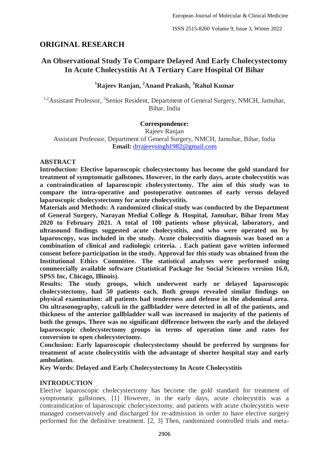# **ORIGINAL RESEARCH**

# **An Observational Study To Compare Delayed And Early Cholecystectomy In Acute Cholecystitis At A Tertiary Care Hospital Of Bihar**

# **<sup>1</sup>Rajeev Ranjan, <sup>2</sup>Anand Prakash, <sup>3</sup>Rahul Kumar**

<sup>1,2</sup> Assistant Professor, <sup>3</sup> Senior Resident, Department of General Surgery, NMCH, Jamuhar, Bihar, India

### **Correspondence:**

Rajeev Ranjan Assistant Professor, Department of General Surgery, NMCH, Jamuhar, Bihar, India **Email:** [drrajeevsingh1982@gmail.com](mailto:drrajeevsingh1982@gmail.com)

### **ABSTRACT**

**Introduction: Elective laparoscopic cholecystectomy has become the gold standard for treatment of symptomatic gallstones. However, in the early days, acute cholecystitis was a contraindication of laparoscopic cholecystectomy. The aim of this study was to compare the intra-operative and postoperative outcomes of early versus delayed laparoscopic cholecystectomy for acute cholecystitis.**

**Materials and Methods: A randomized clinical study was conducted by the Department of General Surgery, Narayan Medial College & Hospital, Jamuhar, Bihar from May 2020 to February 2021. A total of 100 patients whose physical, laboratory, and ultrasound findings suggested acute cholecystitis, and who were operated on by laparoscopy, was included in the study. Acute cholecystitis diagnosis was based on a combination of clinical and radiologic criteria. . Each patient gave written informed consent before participation in the study. Approval for this study was obtained from the Institutional Ethics Committee. The statistical analyses were performed using commercially available software (Statistical Package for Social Sciences version 16.0, SPSS Inc, Chicago, Illinois).**

**Results: The study groups, which underwent early or delayed laparoscopic cholecystectomy, had 50 patients each. Both groups revealed similar findings on physical examination: all patients had tenderness and defense in the abdominal area. On ultrasonography, calculi in the gallbladder were detected in all of the patients, and thickness of the anterior gallbladder wall was increased in majority of the patients of both the groups. There was no significant difference between the early and the delayed laparoscopic cholecystectomy groups in terms of operation time and rates for conversion to open cholecystectomy.**

**Conclusion: Early laparoscopic cholecystectomy should be preferred by surgeons for treatment of acute cholecystitis with the advantage of shorter hospital stay and early ambulation.**

**Key Words: Delayed and Early Cholecystectomy In Acute Cholecystitis**

#### **INTRODUCTION**

Elective laparoscopic cholecystectomy has become the gold standard for treatment of symptomatic gallstones. [1] However, in the early days, acute cholecystitis was a contraindication of laparoscopic cholecystectomy, and patients with acute cholecystitis were managed conservatively and discharged for re-admission in order to have elective surgery performed for the definitive treatment. [2, 3] Then, randomized controlled trials and meta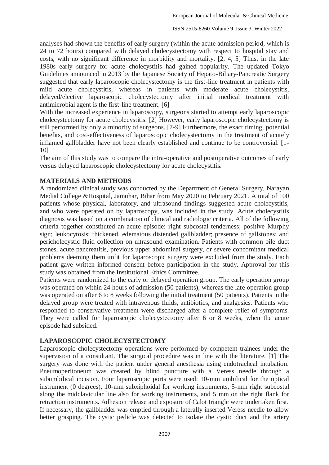analyses had shown the benefits of early surgery (within the acute admission period, which is 24 to 72 hours) compared with delayed cholecystectomy with respect to hospital stay and costs, with no significant difference in morbidity and mortality. [2, 4, 5] Thus, in the late 1980s early surgery for acute cholecystitis had gained popularity. The updated Tokyo Guidelines announced in 2013 by the Japanese Society of Hepato-Biliary-Pancreatic Surgery suggested that early laparoscopic cholecystectomy is the first-line treatment in patients with mild acute cholecystitis, whereas in patients with moderate acute cholecystitis, delayed/elective laparoscopic cholecystectomy after initial medical treatment with antimicrobial agent is the first-line treatment. [6]

With the increased experience in laparoscopy, surgeons started to attempt early laparoscopic cholecystectomy for acute cholecystitis. [2] However, early laparoscopic cholecystectomy is still performed by only a minority of surgeons. [7-9] Furthermore, the exact timing, potential benefits, and cost-effectiveness of laparoscopic cholecystectomy in the treatment of acutely inflamed gallbladder have not been clearly established and continue to be controversial. [1- 10]

The aim of this study was to compare the intra-operative and postoperative outcomes of early versus delayed laparoscopic cholecystectomy for acute cholecystitis.

# **MATERIALS AND METHODS**

A randomized clinical study was conducted by the Department of General Surgery, Narayan Medial College &Hospital, Jamuhar, Bihar from May 2020 to February 2021. A total of 100 patients whose physical, laboratory, and ultrasound findings suggested acute cholecystitis, and who were operated on by laparoscopy, was included in the study. Acute cholecystitis diagnosis was based on a combination of clinical and radiologic criteria. All of the following criteria together constituted an acute episode: right subcostal tenderness; positive Murphy sign; leukocytosis; thickened, edematous distended gallbladder; presence of gallstones; and pericholecystic fluid collection on ultrasound examination. Patients with common bile duct stones, acute pancreatitis, previous upper abdominal surgery, or severe concomitant medical problems deeming them unfit for laparoscopic surgery were excluded from the study. Each patient gave written informed consent before participation in the study. Approval for this study was obtained from the Institutional Ethics Committee.

Patients were randomized to the early or delayed operation group. The early operation group was operated on within 24 hours of admission (50 patients), whereas the late operation group was operated on after 6 to 8 weeks following the initial treatment (50 patients). Patients in the delayed group were treated with intravenous fluids, antibiotics, and analgesics. Patients who responded to conservative treatment were discharged after a complete relief of symptoms. They were called for laparoscopic cholecystectomy after 6 or 8 weeks, when the acute episode had subsided.

# **LAPAROSCOPIC CHOLECYSTECTOMY**

Laparoscopic cholecystectomy operations were performed by competent trainees under the supervision of a consultant. The surgical procedure was in line with the literature. [1] The surgery was done with the patient under general anesthesia using endotracheal intubation. Pneumoperitoneum was created by blind puncture with a Veress needle through a subumbilical incision. Four laparoscopic ports were used: 10-mm umbilical for the optical instrument (0 degrees), 10-mm subxiphoidal for working instruments, 5-mm right subcostal along the midclavicular line also for working instruments, and 5 mm on the right flank for retraction instruments. Adhesion release and exposure of Calot triangle were undertaken first. If necessary, the gallbladder was emptied through a laterally inserted Veress needle to allow better grasping. The cystic pedicle was detected to isolate the cystic duct and the artery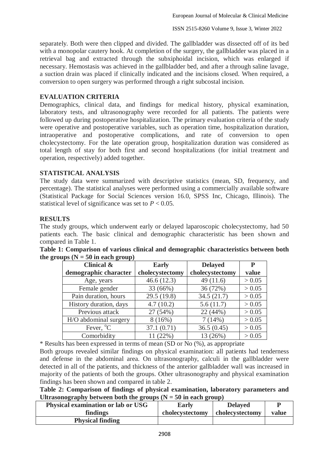separately. Both were then clipped and divided. The gallbladder was dissected off of its bed with a monopolar cautery hook. At completion of the surgery, the gallbladder was placed in a retrieval bag and extracted through the subxiphoidal incision, which was enlarged if necessary. Hemostasis was achieved in the gallbladder bed, and after a through saline lavage, a suction drain was placed if clinically indicated and the incisions closed. When required, a conversion to open surgery was performed through a right subcostal incision.

### **EVALUATION CRITERIA**

Demographics, clinical data, and findings for medical history, physical examination, laboratory tests, and ultrasonography were recorded for all patients. The patients were followed up during postoperative hospitalization. The primary evaluation criteria of the study were operative and postoperative variables, such as operation time, hospitalization duration, intraoperative and postoperative complications, and rate of conversion to open cholecystectomy. For the late operation group, hospitalization duration was considered as total length of stay for both first and second hospitalizations (for initial treatment and operation, respectively) added together.

# **STATISTICAL ANALYSIS**

The study data were summarized with descriptive statistics (mean, SD, frequency, and percentage). The statistical analyses were performed using a commercially available software (Statistical Package for Social Sciences version 16.0, SPSS Inc, Chicago, Illinois). The statistical level of significance was set to  $P < 0.05$ .

### **RESULTS**

The study groups, which underwent early or delayed laparoscopic cholecystectomy, had 50 patients each. The basic clinical and demographic characteristic has been shown and compared in Table 1.

| <b>Clinical &amp;</b>  | <b>Early</b>    | <b>Delayed</b>  | P      |
|------------------------|-----------------|-----------------|--------|
| demographic character  | cholecystectomy | cholecystectomy | value  |
| Age, years             | 46.6(12.3)      | 49(11.6)        | > 0.05 |
| Female gender          | 33 (66%)        | 36 (72%)        | > 0.05 |
| Pain duration, hours   | 29.5(19.8)      | 34.5(21.7)      | > 0.05 |
| History duration, days | 4.7(10.2)       | 5.6(11.7)       | > 0.05 |
| Previous attack        | 27 (54%)        | 22 (44%)        | > 0.05 |
| H/O abdominal surgery  | 8(16%)          | 7(14%)          | > 0.05 |
| Fever, $^{\circ}C$     | 37.1(0.71)      | 36.5(0.45)      | > 0.05 |
| Comorbidity            | 11 (22%)        | 13 (26%)        | > 0.05 |

| Table 1: Comparison of various clinical and demographic characteristics between both |  |  |  |
|--------------------------------------------------------------------------------------|--|--|--|
| the groups $(N = 50$ in each group)                                                  |  |  |  |

\* Results has been expressed in terms of mean (SD or No (%), as appropriate

Both groups revealed similar findings on physical examination: all patients had tenderness and defense in the abdominal area. On ultrasonography, calculi in the gallbladder were detected in all of the patients, and thickness of the anterior gallbladder wall was increased in majority of the patients of both the groups. Other ultrasonography and physical examination findings has been shown and compared in table 2.

**Table 2: Comparison of findings of physical examination, laboratory parameters and**  Ultrasonography between both the groups  $(N = 50$  in each group)

| Physical examination or lab or USG | Early           | <b>Delaved</b>  |       |
|------------------------------------|-----------------|-----------------|-------|
| findings                           | cholecystectomy | cholecystectomy | value |
| <b>Physical finding</b>            |                 |                 |       |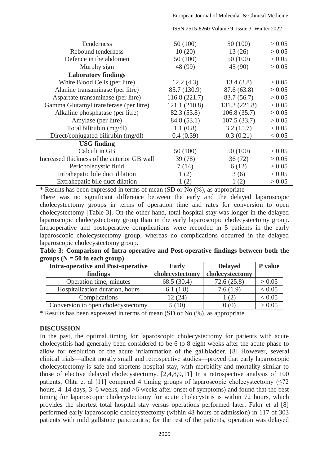| <b>Tenderness</b>                           | 50 (100)      | 50 (100)      | > 0.05 |
|---------------------------------------------|---------------|---------------|--------|
| Rebound tenderness                          | 10(20)        | 13 (26)       | > 0.05 |
| Defence in the abdomen                      | 50 (100)      | 50 (100)      | > 0.05 |
| Murphy sign                                 | 48 (99)       | 45 (90)       | > 0.05 |
| <b>Laboratory findings</b>                  |               |               |        |
| White Blood Cells (per litre)               | 12.2(4.3)     | 13.4(3.8)     | > 0.05 |
| Alanine transaminase (per litre)            | 85.7 (130.9)  | 87.6 (63.8)   | > 0.05 |
| Aspartate transaminase (per litre)          | 116.8 (221.7) | 83.7 (56.7)   | > 0.05 |
| Gamma Glutamyl transferase (per litre)      | 121.1 (210.8) | 131.3 (221.8) | > 0.05 |
| Alkaline phosphatase (per litre)            | 82.3 (53.8)   | 106.8(35.7)   | > 0.05 |
| Amylase (per litre)                         | 84.8 (53.1)   | 107.5(33.7)   | > 0.05 |
| Total bilirubin (mg/dl)                     | 1.1(0.8)      | 3.2(15.7)     | > 0.05 |
| Direct/conjugated bilirubin (mg/dl)         | 0.4(0.39)     | 0.3(0.21)     | < 0.05 |
| <b>USG</b> finding                          |               |               |        |
| Calculi in GB                               | 50 (100)      | 50 (100)      | > 0.05 |
| Increased thickness of the anterior GB wall | 39 (78)       | 36(72)        | > 0.05 |
| Pericholecystic fluid                       | 7(14)         | 6(12)         | > 0.05 |
| Intrahepatic bile duct dilation             | 1(2)          | 3(6)          | > 0.05 |
| Extrahepatic bile duct dilation             | 1(2)          | 1(2)          | > 0.05 |

ISSN 2515-8260 Volume 9, Issue 3, Winter 2022

\* Results has been expressed in terms of mean (SD or No (%), as appropriate

There was no significant difference between the early and the delayed laparoscopic cholecystectomy groups in terms of operation time and rates for conversion to open cholecystectomy [Table 3]. On the other hand, total hospital stay was longer in the delayed laparoscopic cholecystectomy group than in the early laparoscopic cholecystectomy group. Intraoperative and postoperative complications were recorded in 5 patients in the early laparoscopic cholecystectomy group, whereas no complications occurred in the delayed laparoscopic cholecystectomy group.

|                                  |  | Table 3: Comparison of Intra-operative and Post-operative findings between both the |  |  |
|----------------------------------|--|-------------------------------------------------------------------------------------|--|--|
| groups ( $N = 50$ in each group) |  |                                                                                     |  |  |

| <b>Intra-operative and Post-operative</b> | <b>Early</b>    | <b>Delayed</b>  | P value |
|-------------------------------------------|-----------------|-----------------|---------|
| findings                                  | cholecystectomy | cholecystectomy |         |
| Operation time, minutes                   | 68.5 (30.4)     | 72.6(25.8)      | > 0.05  |
| Hospitalization duration, hours           | 6.1(1.8)        | 7.6(1.9)        | < 0.05  |
| Complications                             | 12 (24)         | (2)             | < 0.05  |
| Conversion to open cholecystectomy        | 5(10)           | 0(0)            | > 0.05  |

\* Results has been expressed in terms of mean (SD or No (%), as appropriate

#### **DISCUSSION**

In the past, the optimal timing for laparoscopic cholecystectomy for patients with acute cholecystitis had generally been considered to be 6 to 8 eight weeks after the acute phase to allow for resolution of the acute inflammation of the gallbladder. [8] However, several clinical trials—albeit mostly small and retrospective studies—proved that early laparoscopic cholecystectomy is safe and shortens hospital stay, with morbidity and mortality similar to those of elective delayed cholecystectomy. [2,4,8,9,11] In a retrospective analysis of 100 patients, Ohta et al [11] compared 4 timing groups of laparoscopic cholecystectomy  $(\leq 72)$ hours,  $4-14$  days,  $3-6$  weeks, and  $>6$  weeks after onset of symptoms) and found that the best timing for laparoscopic cholecystectomy for acute cholecystitis is within 72 hours, which provides the shortest total hospital stay versus operations performed later. Falor et al [8] performed early laparoscopic cholecystectomy (within 48 hours of admission) in 117 of 303 patients with mild gallstone pancreatitis; for the rest of the patients, operation was delayed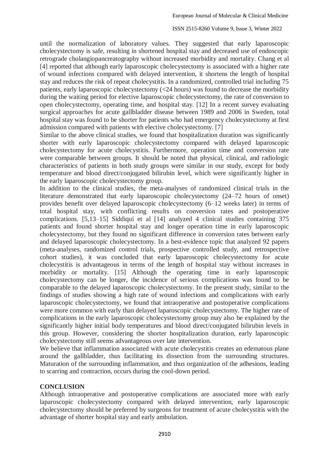#### ISSN 2515-8260 Volume 9, Issue 3, Winter 2022

until the normalization of laboratory values. They suggested that early laparoscopic cholecystectomy is safe, resulting in shortened hospital stay and decreased use of endoscopic retrograde cholangiopancreatography without increased morbidity and mortality. Chang et al [4] reported that although early laparoscopic cholecystectomy is associated with a higher rate of wound infections compared with delayed intervention, it shortens the length of hospital stay and reduces the risk of repeat cholecystitis. In a randomized, controlled trial including 75 patients, early laparoscopic cholecystectomy (<24 hours) was found to decrease the morbidity during the waiting period for elective laparoscopic cholecystectomy, the rate of conversion to open cholecystectomy, operating time, and hospital stay. [12] In a recent survey evaluating surgical approaches for acute gallbladder disease between 1989 and 2006 in Sweden, total hospital stay was found to be shorter for patients who had emergency cholecystectomy at first admission compared with patients with elective cholecystectomy. [7]

Similar to the above clinical studies, we found that hospitalization duration was significantly shorter with early laparoscopic cholecystectomy compared with delayed laparoscopic cholecystectomy for acute cholecystitis. Furthermore, operation time and conversion rate were comparable between groups. It should be noted that physical, clinical, and radiologic characteristics of patients in both study groups were similar in our study, except for body temperature and blood direct/conjugated bilirubin level, which were significantly higher in the early laparoscopic cholecystectomy group.

In addition to the clinical studies, the meta-analyses of randomized clinical trials in the literature demonstrated that early laparoscopic cholecystectomy (24–72 hours of onset) provides benefit over delayed laparoscopic cholecystectomy (6–12 weeks later) in terms of total hospital stay, with conflicting results on conversion rates and postoperative complications. [5,13–15] Siddiqui et al [14] analyzed 4 clinical studies containing 375 patients and found shorter hospital stay and longer operation time in early laparoscopic cholecystectomy, but they found no significant difference in conversion rates between early and delayed laparoscopic cholecystectomy. In a best-evidence topic that analyzed 92 papers (meta-analyses, randomized control trials, prospective controlled study, and retrospective cohort studies), it was concluded that early laparoscopic cholecystectomy for acute cholecystitis is advantageous in terms of the length of hospital stay without increases in morbidity or mortality. [15] Although the operating time in early laparoscopic cholecystectomy can be longer, the incidence of serious complications was found to be comparable to the delayed laparoscopic cholecystectomy. In the present study, similar to the findings of studies showing a high rate of wound infections and complications with early laparoscopic cholecystectomy, we found that intraoperative and postoperative complications were more common with early than delayed laparoscopic cholecystectomy. The higher rate of complications in the early laparoscopic cholecystectomy group may also be explained by the significantly higher initial body temperatures and blood direct/conjugated bilirubin levels in this group. However, considering the shorter hospitalization duration, early laparoscopic cholecystectomy still seems advantageous over late intervention.

We believe that inflammation associated with acute cholecystitis creates an edematous plane around the gallbladder, thus facilitating its dissection from the surrounding structures. Maturation of the surrounding inflammation, and thus organization of the adhesions, leading to scarring and contraction, occurs during the cool-down period.

# **CONCLUSION**

Although intraoperative and postoperative complications are associated more with early laparoscopic cholecystectomy compared with delayed intervention, early laparoscopic cholecystectomy should be preferred by surgeons for treatment of acute cholecystitis with the advantage of shorter hospital stay and early ambulation.